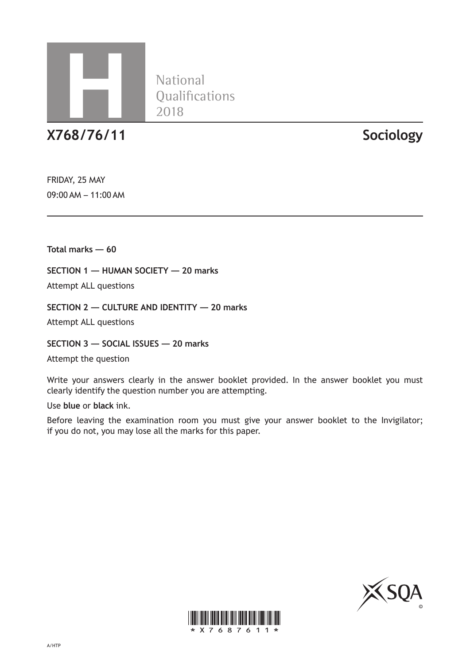

**National** 

**X768/76/11 Sociology**

FRIDAY, 25 MAY 09:00 AM – 11:00 AM

**Total marks — 60**

**SECTION 1 — HUMAN SOCIETY — 20 marks** 

Attempt ALL questions

**SECTION 2 — CULTURE AND IDENTITY — 20 marks** 

Attempt ALL questions

**SECTION 3 — SOCIAL ISSUES — 20 marks** 

Attempt the question

Write your answers clearly in the answer booklet provided. In the answer booklet you must clearly identify the question number you are attempting.

Use **blue** or **black** ink.

Before leaving the examination room you must give your answer booklet to the Invigilator; if you do not, you may lose all the marks for this paper.



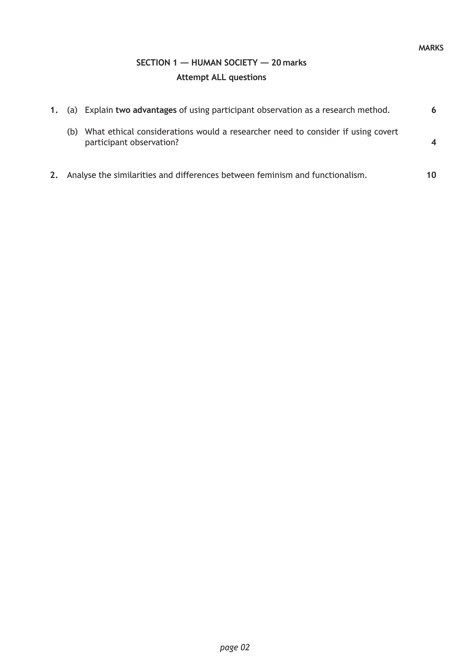## **SECTION 1 — HUMAN SOCIETY — 20 marks Attempt ALL questions**

|    |     | 1. (a) Explain two advantages of using participant observation as a research method.                        | 6  |
|----|-----|-------------------------------------------------------------------------------------------------------------|----|
|    | (b) | What ethical considerations would a researcher need to consider if using covert<br>participant observation? |    |
| 2. |     | Analyse the similarities and differences between feminism and functionalism.                                | 10 |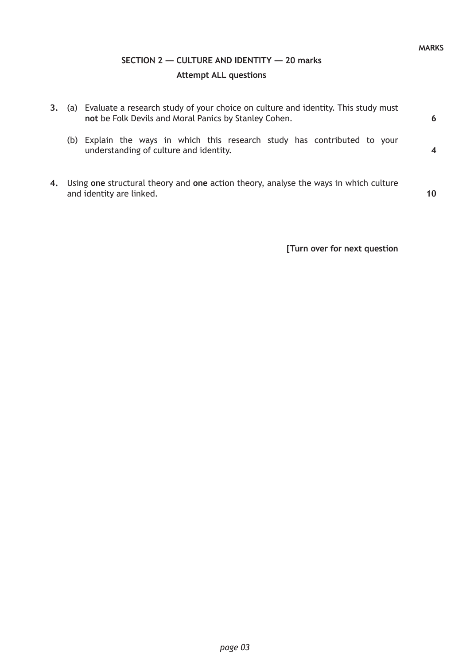## **SECTION 2 — CULTURE AND IDENTITY — 20 marks Attempt ALL questions**

| 3. | (a) | Evaluate a research study of your choice on culture and identity. This study must<br>not be Folk Devils and Moral Panics by Stanley Cohen. | 6  |
|----|-----|--------------------------------------------------------------------------------------------------------------------------------------------|----|
|    | (b) | Explain the ways in which this research study has contributed to your<br>understanding of culture and identity.                            |    |
| 4. |     | Using one structural theory and one action theory, analyse the ways in which culture<br>and identity are linked.                           | 10 |

**[Turn over for next question**

**MARKS**